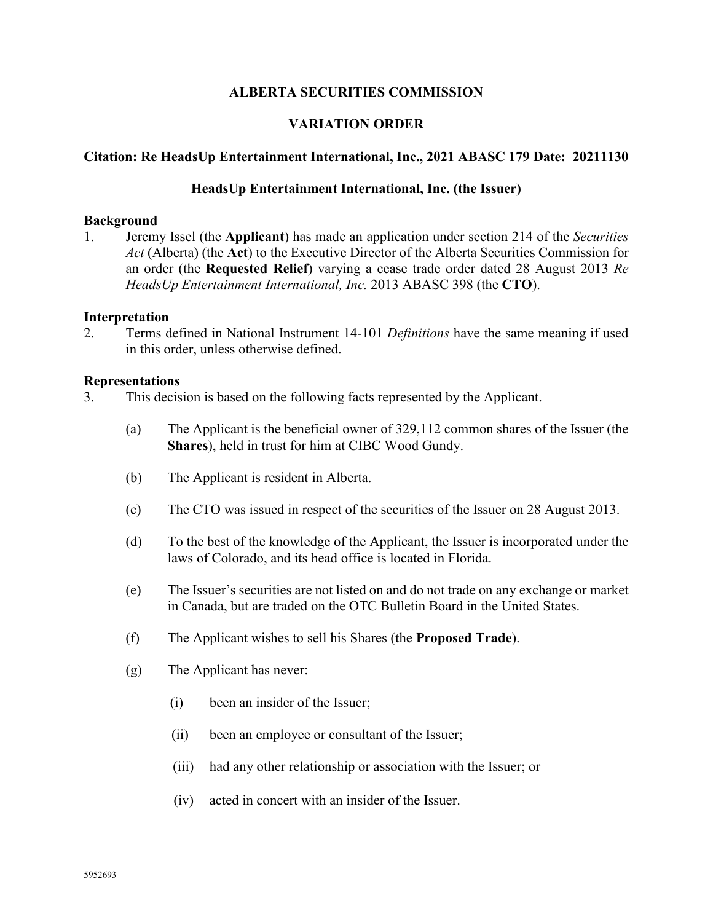## **ALBERTA SECURITIES COMMISSION**

# **VARIATION ORDER**

### **Citation: Re HeadsUp Entertainment International, Inc., 2021 ABASC 179 Date: 20211130**

### **HeadsUp Entertainment International, Inc. (the Issuer)**

### **Background**

1. Jeremy Issel (the **Applicant**) has made an application under section 214 of the *Securities Act* (Alberta) (the **Act**) to the Executive Director of the Alberta Securities Commission for an order (the **Requested Relief**) varying a cease trade order dated 28 August 2013 *Re HeadsUp Entertainment International, Inc.* [2013](https://www.canlii.org/en/ab/absec/doc/2018/2018abasc120/2018abasc120.html) ABASC 398 (the **CTO**).

### **Interpretation**

2. Terms defined in National Instrument 14-101 *Definitions* have the same meaning if used in this order, unless otherwise defined.

#### **Representations**

- 3. This decision is based on the following facts represented by the Applicant.
	- (a) The Applicant is the beneficial owner of 329,112 common shares of the Issuer (the **Shares**), held in trust for him at CIBC Wood Gundy.
	- (b) The Applicant is resident in Alberta.
	- (c) The CTO was issued in respect of the securities of the Issuer on 28 August 2013.
	- (d) To the best of the knowledge of the Applicant, the Issuer is incorporated under the laws of Colorado, and its head office is located in Florida.
	- (e) The Issuer's securities are not listed on and do not trade on any exchange or market in Canada, but are traded on the OTC Bulletin Board in the United States.
	- (f) The Applicant wishes to sell his Shares (the **Proposed Trade**).
	- (g) The Applicant has never:
		- (i) been an insider of the Issuer;
		- (ii) been an employee or consultant of the Issuer;
		- (iii) had any other relationship or association with the Issuer; or
		- (iv) acted in concert with an insider of the Issuer.